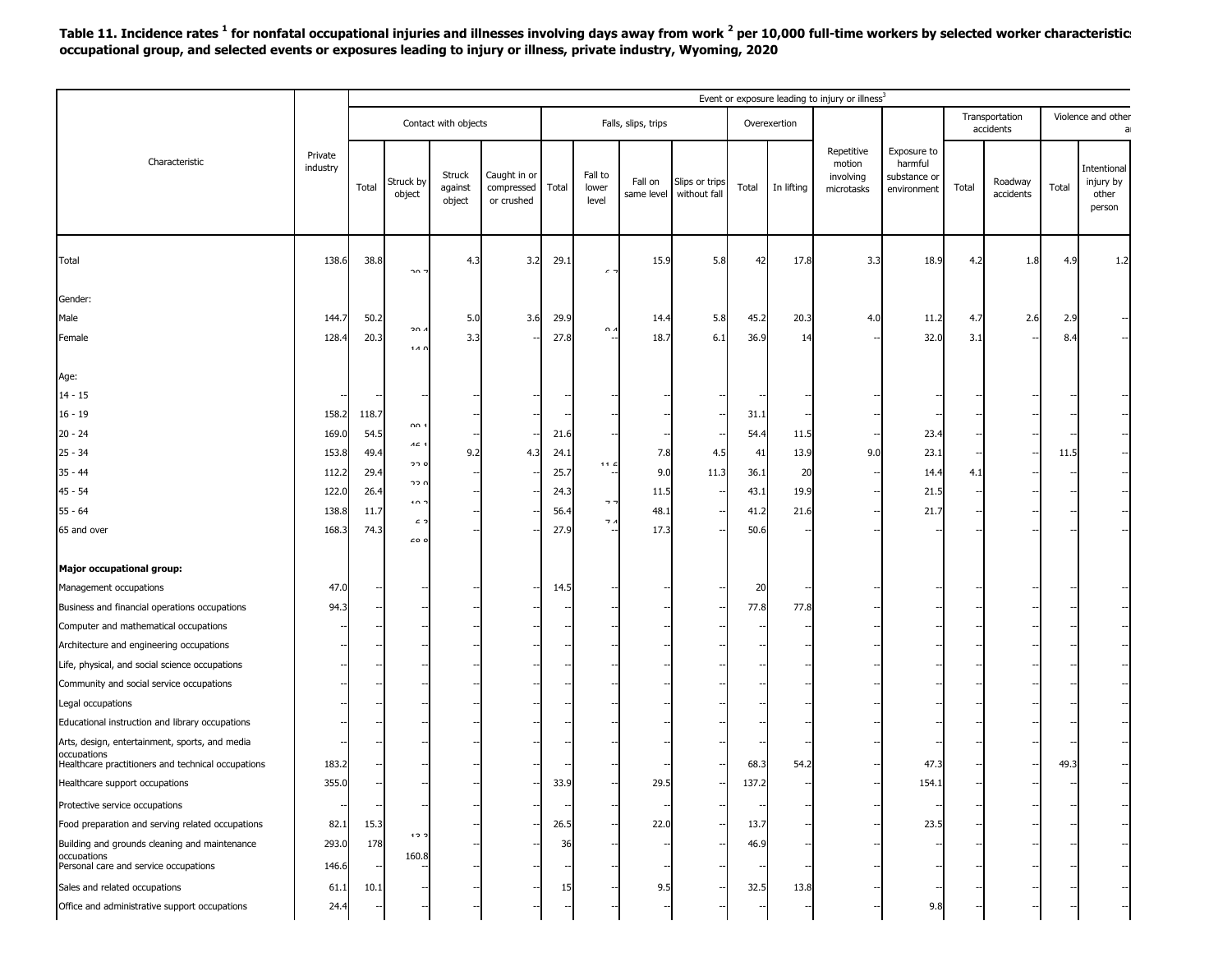Table 11. Incidence rates <sup>1</sup> for nonfatal occupational injuries and illnesses involving days away from work <sup>2</sup> per 10,000 full-time workers by selected worker characteristic: **occupational group, and selected events or exposures leading to injury or illness, private industry, Wyoming, 2020**

| Transportation<br>Contact with objects<br>Falls, slips, trips<br>Overexertion<br>accidents<br>Repetitive<br>Exposure to<br>Private<br>Characteristic<br>harmful<br>motion<br>industry<br>Fall to<br>Caught in or<br>Struck<br>substance or<br>involving<br>Struck by<br>Fall on<br>Roadway<br>Slips or trips<br>Total<br>Total<br>Total<br>In lifting<br>against<br>compressed<br>lower<br>Total<br>microtasks<br>environment<br>without fall<br>same level<br>accidents<br>object | Violence and other<br>Intentional<br>injury by<br>Total<br>other<br>person |
|------------------------------------------------------------------------------------------------------------------------------------------------------------------------------------------------------------------------------------------------------------------------------------------------------------------------------------------------------------------------------------------------------------------------------------------------------------------------------------|----------------------------------------------------------------------------|
|                                                                                                                                                                                                                                                                                                                                                                                                                                                                                    |                                                                            |
| object<br>or crushed<br>level                                                                                                                                                                                                                                                                                                                                                                                                                                                      |                                                                            |
| Total<br>138.6<br>38.8<br>4.3<br>3.2<br>29.1<br>15.9<br>5.8<br>42<br>17.8<br>3.3<br>18.9<br>4.2<br>1.8<br>חר<br>$\epsilon$                                                                                                                                                                                                                                                                                                                                                         | 4.9<br>1.2                                                                 |
| Gender:                                                                                                                                                                                                                                                                                                                                                                                                                                                                            |                                                                            |
| 2.6<br>50.2<br>5.0<br>3.6<br>29.9<br>5.8<br>20.3<br>Male<br>144.<br>14.4<br>45.2<br>4.0<br>11.2<br>4.7                                                                                                                                                                                                                                                                                                                                                                             | 2.9                                                                        |
| ּ הר<br>$\sim$<br>3.3<br>27.8<br>32.0<br>128.4<br>20.3<br>18.7<br>6.1<br>36.9<br>3.1<br>Female<br>14<br>111                                                                                                                                                                                                                                                                                                                                                                        | 8.4                                                                        |
| Age:                                                                                                                                                                                                                                                                                                                                                                                                                                                                               |                                                                            |
| $14 - 15$                                                                                                                                                                                                                                                                                                                                                                                                                                                                          |                                                                            |
| $16 - 19$<br>158.2<br>118.7<br>31.1                                                                                                                                                                                                                                                                                                                                                                                                                                                |                                                                            |
| ΩΩ<br>54.5<br>169.0<br>21.6<br>54.4<br>23.4<br>20 - 24<br>11.5                                                                                                                                                                                                                                                                                                                                                                                                                     |                                                                            |
| $AC$<br>49.4<br>9.2<br>13.9<br>9.0<br>23.1<br>$25 - 34$<br>153.8<br>24.1<br>7.8<br>4.5<br>4.3<br>41                                                                                                                                                                                                                                                                                                                                                                                | 11.5                                                                       |
| ז בר<br>44.1<br>29.4<br>25.7<br>9.0<br>11.3<br>20<br>$35 - 44$<br>36.1<br>112.2<br>14.4<br>4.                                                                                                                                                                                                                                                                                                                                                                                      |                                                                            |
| ז בר<br>45 - 54<br>122.<br>26.4<br>43.1<br>19.9<br>24.3<br>11.5<br>21.5                                                                                                                                                                                                                                                                                                                                                                                                            |                                                                            |
| 10 <sub>1</sub><br>⇁<br>55 - 64<br>138.8<br>11.7<br>56.4<br>48.1<br>41.2<br>21.6<br>21.7                                                                                                                                                                                                                                                                                                                                                                                           |                                                                            |
| c<br>┑.<br>27.9<br>17.3<br>50.6<br>65 and over<br>168.3<br>74.3<br>$\epsilon$ o o                                                                                                                                                                                                                                                                                                                                                                                                  |                                                                            |
| Major occupational group:                                                                                                                                                                                                                                                                                                                                                                                                                                                          |                                                                            |
| 47.0<br>Management occupations<br>14.5<br>20                                                                                                                                                                                                                                                                                                                                                                                                                                       |                                                                            |
| 77.8<br>Business and financial operations occupations<br>94.3<br>77.8                                                                                                                                                                                                                                                                                                                                                                                                              |                                                                            |
| Computer and mathematical occupations                                                                                                                                                                                                                                                                                                                                                                                                                                              |                                                                            |
| Architecture and engineering occupations                                                                                                                                                                                                                                                                                                                                                                                                                                           |                                                                            |
| Life, physical, and social science occupations                                                                                                                                                                                                                                                                                                                                                                                                                                     |                                                                            |
| Community and social service occupations                                                                                                                                                                                                                                                                                                                                                                                                                                           |                                                                            |
| Legal occupations                                                                                                                                                                                                                                                                                                                                                                                                                                                                  |                                                                            |
| Educational instruction and library occupations                                                                                                                                                                                                                                                                                                                                                                                                                                    |                                                                            |
| Arts, design, entertainment, sports, and media                                                                                                                                                                                                                                                                                                                                                                                                                                     |                                                                            |
| occupations<br>183.2<br>68.3<br>54.2<br>47.3<br>Healthcare practitioners and technical occupations                                                                                                                                                                                                                                                                                                                                                                                 | 49.3                                                                       |
| 355.0<br>154.1<br>29.<br>137.2<br>Healthcare support occupations<br>، ب                                                                                                                                                                                                                                                                                                                                                                                                            |                                                                            |
| Protective service occupations                                                                                                                                                                                                                                                                                                                                                                                                                                                     |                                                                            |
| Food preparation and serving related occupations<br>15.3<br>26.5<br>22.0<br>23.5<br>82.1<br>13.7                                                                                                                                                                                                                                                                                                                                                                                   |                                                                            |
| 12<br>178<br>Building and grounds cleaning and maintenance<br>293.0<br>36<br>46.9                                                                                                                                                                                                                                                                                                                                                                                                  |                                                                            |
| 160.8<br>occupations<br>Personal care and service occupations<br>146.6                                                                                                                                                                                                                                                                                                                                                                                                             |                                                                            |
| Sales and related occupations<br>10.1<br>9.5<br>32.5<br>13.8<br>61.1<br>-15                                                                                                                                                                                                                                                                                                                                                                                                        |                                                                            |
| 9.8<br>Office and administrative support occupations<br>24.4                                                                                                                                                                                                                                                                                                                                                                                                                       |                                                                            |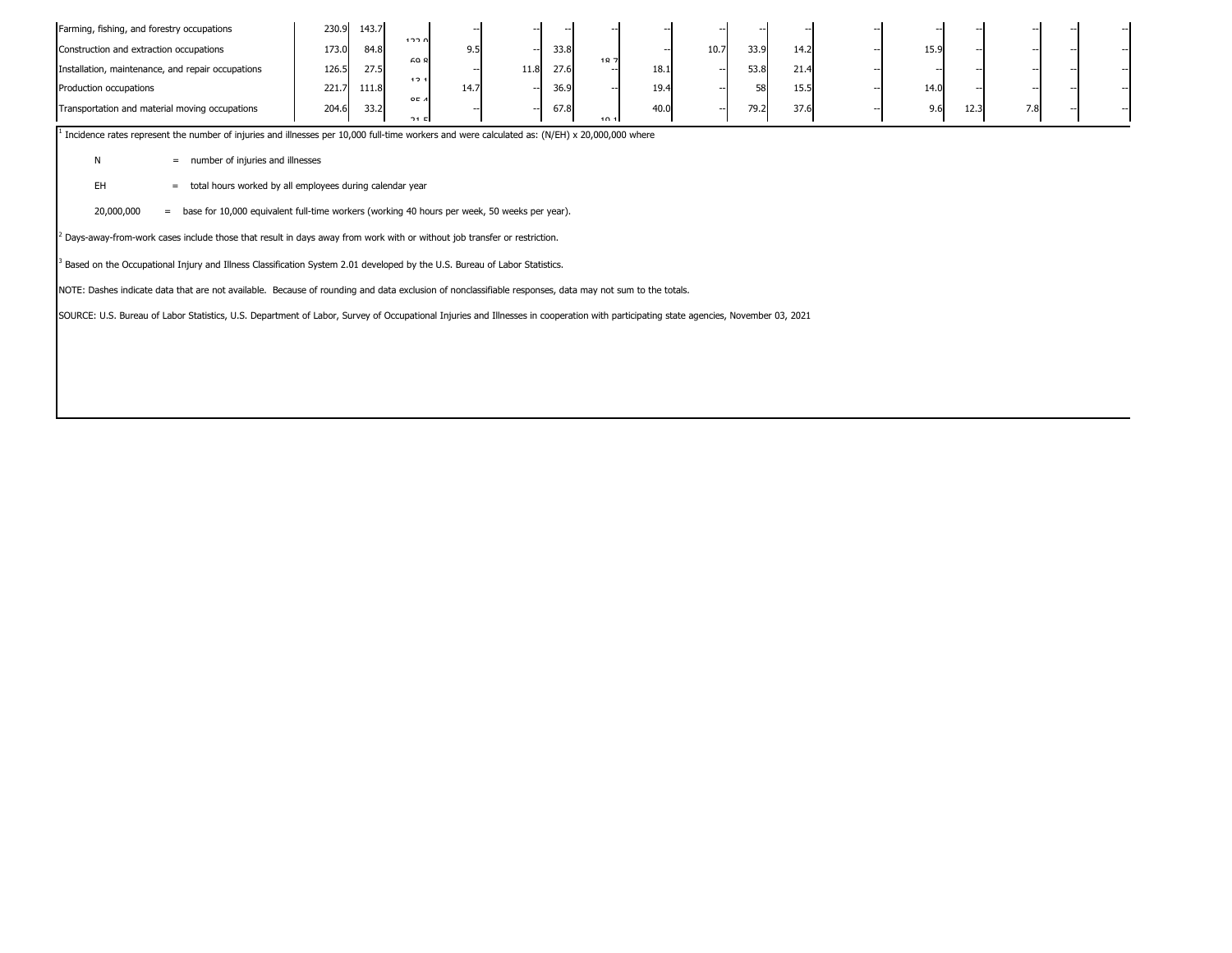| Farming, fishing, and forestry occupations<br>Construction and extraction occupations<br>Installation, maintenance, and repair occupations<br>Production occupations                                                                                                                                                                          | 230.9<br>143.7<br>173.0<br>84.8<br>126.5<br>27.5<br>221.7<br>111.8 | ח ררו<br>9.5<br>cn o<br>12.1<br>14.7 | 33.8<br>27.6<br>11.8<br>36.9 | 107<br>18.1<br>19.4 | 33.9<br>10.7<br>53.8<br>--<br>58<br>-- | 14.2<br>21.4<br>15.5 | 15.9<br>14.0 |     |
|-----------------------------------------------------------------------------------------------------------------------------------------------------------------------------------------------------------------------------------------------------------------------------------------------------------------------------------------------|--------------------------------------------------------------------|--------------------------------------|------------------------------|---------------------|----------------------------------------|----------------------|--------------|-----|
| Transportation and material moving occupations                                                                                                                                                                                                                                                                                                | 204.6<br>33.2                                                      | QF A<br>21E                          | 67.8                         | 40.0<br>10.1        | 79.2<br>--                             | 37.6                 | 9.6<br>12.3  | 7.8 |
| Incidence rates represent the number of injuries and illnesses per 10,000 full-time workers and were calculated as: (N/EH) x 20,000,000 where<br>number of injuries and illnesses<br>N<br>$\qquad \qquad =$<br><b>EH</b><br>$=$<br>20,000,000<br>base for 10,000 equivalent full-time workers (working 40 hours per week, 50 weeks per year). | total hours worked by all employees during calendar year           |                                      |                              |                     |                                        |                      |              |     |
| <sup>2</sup> Days-away-from-work cases include those that result in days away from work with or without job transfer or restriction.                                                                                                                                                                                                          |                                                                    |                                      |                              |                     |                                        |                      |              |     |
| Based on the Occupational Injury and Illness Classification System 2.01 developed by the U.S. Bureau of Labor Statistics.                                                                                                                                                                                                                     |                                                                    |                                      |                              |                     |                                        |                      |              |     |
| NOTE: Dashes indicate data that are not available. Because of rounding and data exclusion of nonclassifiable responses, data may not sum to the totals.                                                                                                                                                                                       |                                                                    |                                      |                              |                     |                                        |                      |              |     |

SOURCE: U.S. Bureau of Labor Statistics, U.S. Department of Labor, Survey of Occupational Injuries and Illnesses in cooperation with participating state agencies, November 03, 2021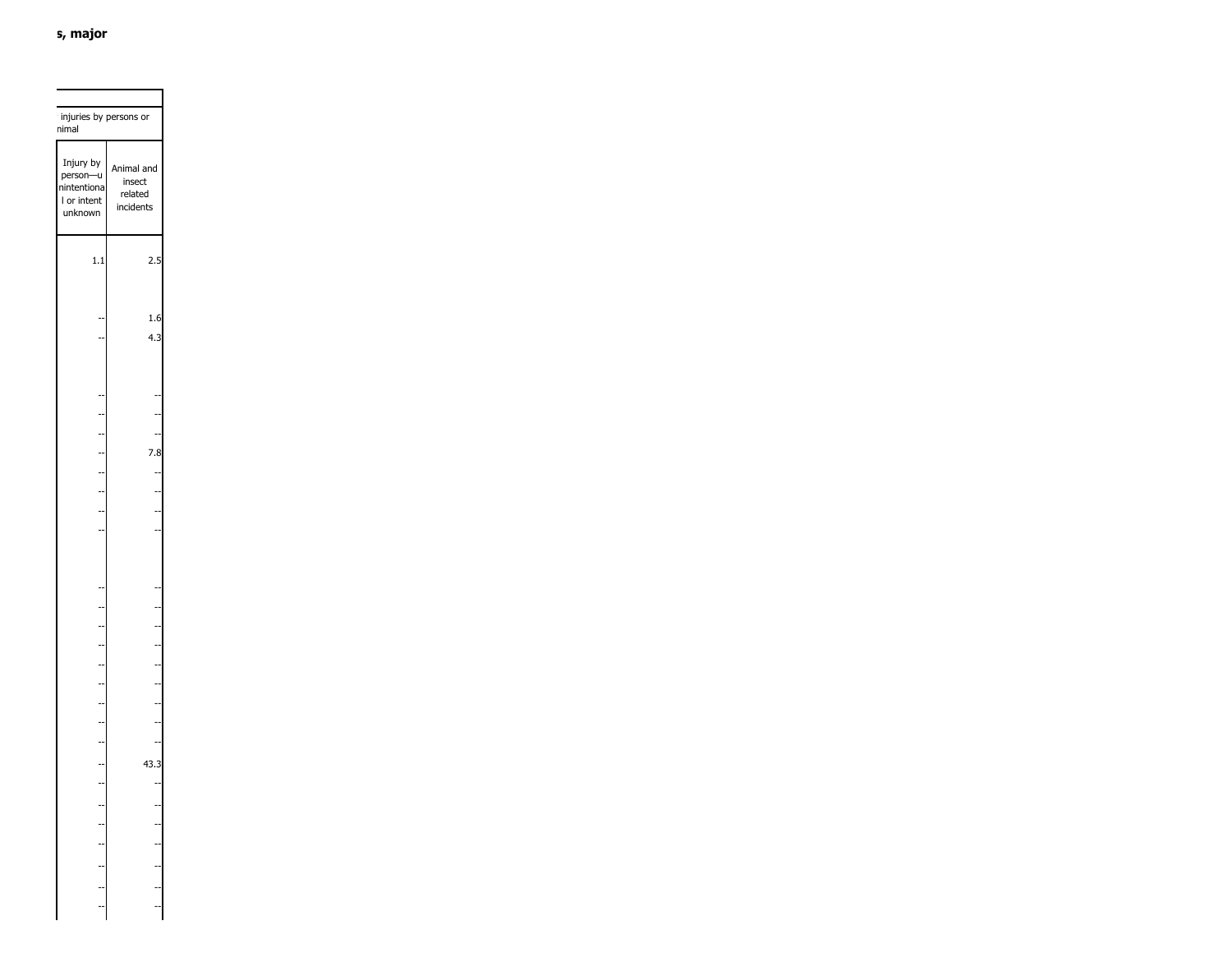| injuries by persons or<br>nimal                                |                                              |  |
|----------------------------------------------------------------|----------------------------------------------|--|
| Injury by<br>person-u<br>nintentiona<br>I or intent<br>unknown | Animal and<br>insect<br>related<br>incidents |  |
| 1.1                                                            | 2.5                                          |  |
|                                                                | 1.6<br>4.3                                   |  |
|                                                                |                                              |  |
|                                                                |                                              |  |
| $\overline{a}$                                                 | 7.8                                          |  |
| $\overline{a}$                                                 |                                              |  |
|                                                                |                                              |  |
|                                                                |                                              |  |
|                                                                |                                              |  |
|                                                                |                                              |  |
|                                                                |                                              |  |
|                                                                |                                              |  |
|                                                                |                                              |  |
|                                                                |                                              |  |
|                                                                |                                              |  |
|                                                                | ł                                            |  |
|                                                                |                                              |  |
|                                                                | 43.3                                         |  |
|                                                                |                                              |  |
|                                                                |                                              |  |
|                                                                |                                              |  |
|                                                                |                                              |  |
|                                                                |                                              |  |
|                                                                |                                              |  |
|                                                                |                                              |  |
|                                                                |                                              |  |